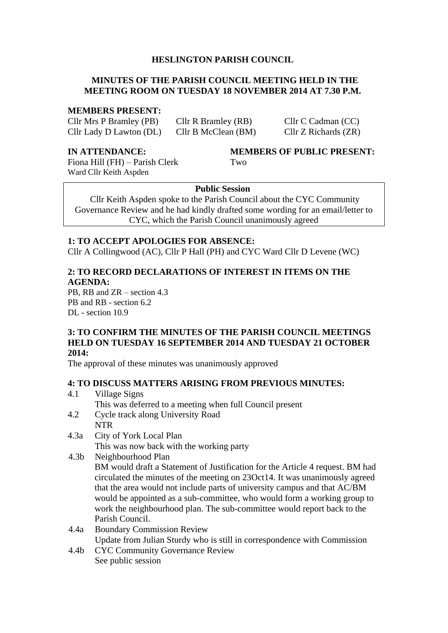## **HESLINGTON PARISH COUNCIL**

## **MINUTES OF THE PARISH COUNCIL MEETING HELD IN THE MEETING ROOM ON TUESDAY 18 NOVEMBER 2014 AT 7.30 P.M.**

#### **MEMBERS PRESENT:**

Cllr Mrs P Bramley (PB) Cllr R Bramley (RB) Cllr C Cadman (CC) Cllr Lady D Lawton (DL) Cllr B McClean (BM) Cllr Z Richards (ZR)

Fiona Hill (FH) – Parish Clerk Two Ward Cllr Keith Aspden

#### **IN ATTENDANCE: MEMBERS OF PUBLIC PRESENT:**

#### **Public Session**

Cllr Keith Aspden spoke to the Parish Council about the CYC Community Governance Review and he had kindly drafted some wording for an email/letter to CYC, which the Parish Council unanimously agreed

#### **1: TO ACCEPT APOLOGIES FOR ABSENCE:**

Cllr A Collingwood (AC), Cllr P Hall (PH) and CYC Ward Cllr D Levene (WC)

## **2: TO RECORD DECLARATIONS OF INTEREST IN ITEMS ON THE AGENDA:**

PB, RB and ZR – section 4.3 PB and RB - section 6.2 DL - section 10.9

#### **3: TO CONFIRM THE MINUTES OF THE PARISH COUNCIL MEETINGS HELD ON TUESDAY 16 SEPTEMBER 2014 AND TUESDAY 21 OCTOBER 2014:**

The approval of these minutes was unanimously approved

#### **4: TO DISCUSS MATTERS ARISING FROM PREVIOUS MINUTES:**

- 4.1 Village Signs This was deferred to a meeting when full Council present
- 4.2 Cycle track along University Road
	- NTR
- 4.3a City of York Local Plan This was now back with the working party
- 4.3b Neighbourhood Plan

BM would draft a Statement of Justification for the Article 4 request. BM had circulated the minutes of the meeting on 23Oct14. It was unanimously agreed that the area would not include parts of university campus and that AC/BM would be appointed as a sub-committee, who would form a working group to work the neighbourhood plan. The sub-committee would report back to the Parish Council.

- 4.4a Boundary Commission Review Update from Julian Sturdy who is still in correspondence with Commission
- 4.4b CYC Community Governance Review See public session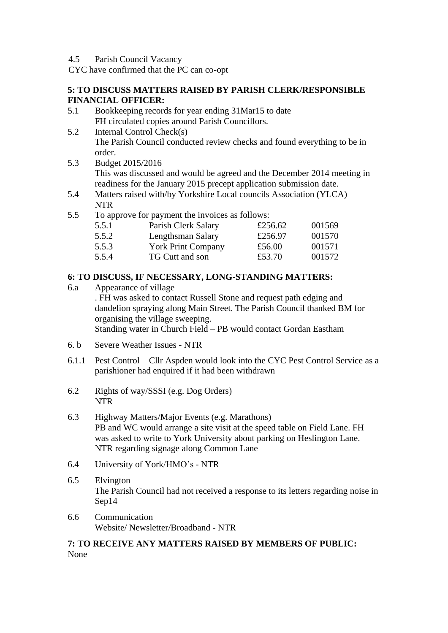4.5 Parish Council Vacancy

CYC have confirmed that the PC can co-opt

## **5: TO DISCUSS MATTERS RAISED BY PARISH CLERK/RESPONSIBLE FINANCIAL OFFICER:**

- 5.1 Bookkeeping records for year ending 31Mar15 to date FH circulated copies around Parish Councillors.
- 5.2 Internal Control Check(s) The Parish Council conducted review checks and found everything to be in order.
- 5.3 Budget 2015/2016 This was discussed and would be agreed and the December 2014 meeting in readiness for the January 2015 precept application submission date.
- 5.4 Matters raised with/by Yorkshire Local councils Association (YLCA) NTR
- 5.5 To approve for payment the invoices as follows:

| 5.5.1 | Parish Clerk Salary       | £256.62 | 001569 |
|-------|---------------------------|---------|--------|
| 5.5.2 | Lengthsman Salary         | £256.97 | 001570 |
| 5.5.3 | <b>York Print Company</b> | £56.00  | 001571 |
| 5.5.4 | TG Cutt and son           | £53.70  | 001572 |

# **6: TO DISCUSS, IF NECESSARY, LONG-STANDING MATTERS:**

- 6.a Appearance of village . FH was asked to contact Russell Stone and request path edging and dandelion spraying along Main Street. The Parish Council thanked BM for organising the village sweeping. Standing water in Church Field – PB would contact Gordan Eastham
- 6. b Severe Weather Issues NTR
- 6.1.1 Pest Control Cllr Aspden would look into the CYC Pest Control Service as a parishioner had enquired if it had been withdrawn
- 6.2 Rights of way/SSSI (e.g. Dog Orders) NTR
- 6.3 Highway Matters/Major Events (e.g. Marathons) PB and WC would arrange a site visit at the speed table on Field Lane. FH was asked to write to York University about parking on Heslington Lane. NTR regarding signage along Common Lane
- 6.4 University of York/HMO's NTR
- 6.5 Elvington The Parish Council had not received a response to its letters regarding noise in Sep14
- 6.6 Communication Website/ Newsletter/Broadband - NTR

## **7: TO RECEIVE ANY MATTERS RAISED BY MEMBERS OF PUBLIC:** None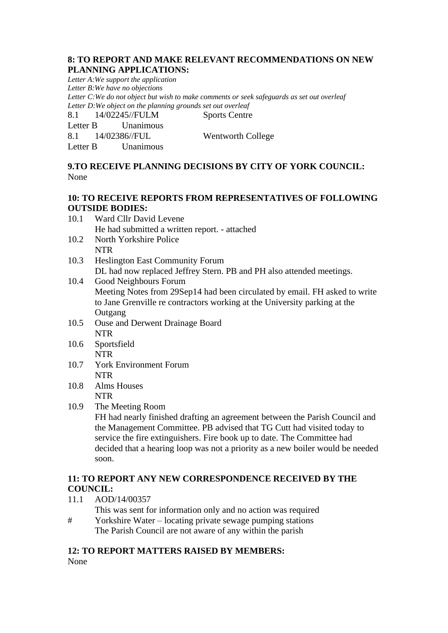## **8: TO REPORT AND MAKE RELEVANT RECOMMENDATIONS ON NEW PLANNING APPLICATIONS:**

*Letter A:We support the application Letter B:We have no objections Letter C:We do not object but wish to make comments or seek safeguards as set out overleaf Letter D:We object on the planning grounds set out overleaf* 8.1 14/02245//FULM Sports Centre

Letter B Unanimous 8.1 14/02386//FUL Wentworth College Letter B Unanimous

# **9.TO RECEIVE PLANNING DECISIONS BY CITY OF YORK COUNCIL:** None

## **10: TO RECEIVE REPORTS FROM REPRESENTATIVES OF FOLLOWING OUTSIDE BODIES:**

- 10.1 Ward Cllr David Levene He had submitted a written report. - attached
- 10.2 North Yorkshire Police NTR
- 10.3 Heslington East Community Forum DL had now replaced Jeffrey Stern. PB and PH also attended meetings.
- 10.4 Good Neighbours Forum Meeting Notes from 29Sep14 had been circulated by email. FH asked to write to Jane Grenville re contractors working at the University parking at the **Outgang**
- 10.5 Ouse and Derwent Drainage Board NTR
- 10.6 Sportsfield NTR
- 10.7 York Environment Forum NTR
- 10.8 Alms Houses NTR
- 10.9 The Meeting Room

FH had nearly finished drafting an agreement between the Parish Council and the Management Committee. PB advised that TG Cutt had visited today to service the fire extinguishers. Fire book up to date. The Committee had decided that a hearing loop was not a priority as a new boiler would be needed soon.

# **11: TO REPORT ANY NEW CORRESPONDENCE RECEIVED BY THE COUNCIL:**

- 11.1 AOD/14/00357
	- This was sent for information only and no action was required
- # Yorkshire Water locating private sewage pumping stations The Parish Council are not aware of any within the parish

#### **12: TO REPORT MATTERS RAISED BY MEMBERS:** None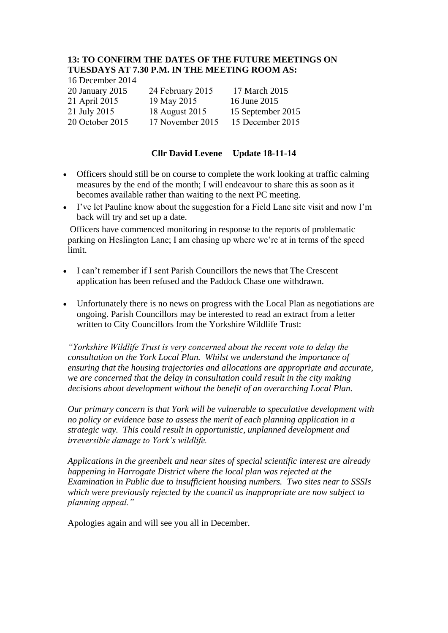# **13: TO CONFIRM THE DATES OF THE FUTURE MEETINGS ON TUESDAYS AT 7.30 P.M. IN THE MEETING ROOM AS:**

16 December 2014

20 January 2015 24 February 2015           17 March 2015 21 April 2015   19 May 2015   16 June 2015

21 July 2015      18 August 2015    15 September 2015 20 October 2015         17 November 2015       15 December 2015

# **Cllr David Levene Update 18-11-14**

- Officers should still be on course to complete the work looking at traffic calming measures by the end of the month; I will endeavour to share this as soon as it becomes available rather than waiting to the next PC meeting.
- I've let Pauline know about the suggestion for a Field Lane site visit and now I'm back will try and set up a date.

Officers have commenced monitoring in response to the reports of problematic parking on Heslington Lane; I am chasing up where we're at in terms of the speed limit.

- I can't remember if I sent Parish Councillors the news that The Crescent application has been refused and the Paddock Chase one withdrawn.
- Unfortunately there is no news on progress with the Local Plan as negotiations are ongoing. Parish Councillors may be interested to read an extract from a letter written to City Councillors from the Yorkshire Wildlife Trust:

*"Yorkshire Wildlife Trust is very concerned about the recent vote to delay the consultation on the York Local Plan. Whilst we understand the importance of ensuring that the housing trajectories and allocations are appropriate and accurate, we are concerned that the delay in consultation could result in the city making decisions about development without the benefit of an overarching Local Plan.* 

*Our primary concern is that York will be vulnerable to speculative development with no policy or evidence base to assess the merit of each planning application in a strategic way. This could result in opportunistic, unplanned development and irreversible damage to York's wildlife.*

*Applications in the greenbelt and near sites of special scientific interest are already happening in Harrogate District where the local plan was rejected at the Examination in Public due to insufficient housing numbers. Two sites near to SSSIs which were previously rejected by the council as inappropriate are now subject to planning appeal."*

Apologies again and will see you all in December.